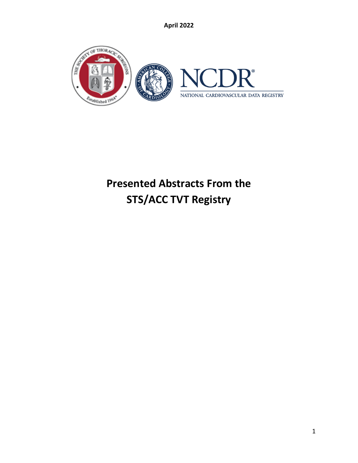

# **Presented Abstracts From the STS/ACC TVT Registry**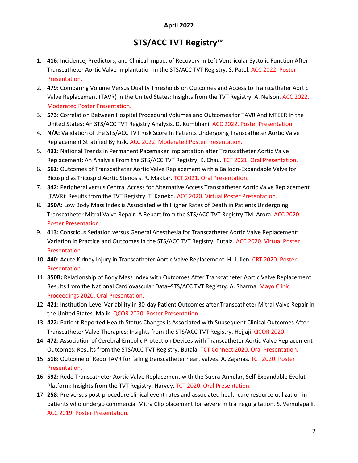## **STS/ACC TVT Registry™**

- 1. **416:** Incidence, Predictors, and Clinical Impact of Recovery in Left Ventricular Systolic Function After Transcatheter Aortic Valve Implantation in the STS/ACC TVT Registry. S. Patel. ACC 2022. Poster Presentation.
- 2. **479:** Comparing Volume Versus Quality Thresholds on Outcomes and Access to Transcatheter Aortic Valve Replacement (TAVR) in the United States: Insights from the TVT Registry. A. Nelson. ACC 2022. Moderated Poster Presentation.
- 3. **573:** Correlation Between Hospital Procedural Volumes and Outcomes for TAVR And MTEER In the United States: An STS/ACC TVT Registry Analysis. D. Kumbhani. ACC 2022. Poster Presentation.
- 4. **N/A:** Validation of the STS/ACC TVT Risk Score In Patients Undergoing Transcatheter Aortic Valve Replacement Stratified By Risk. ACC 2022. Moderated Poster Presentation.
- 5. **431:** National Trends in Permanent Pacemaker Implantation after Transcatheter Aortic Valve Replacement: An Analysis From the STS/ACC TVT Registry. K. Chau. TCT 2021. Oral Presentation.
- 6. **561:** Outcomes of Transcatheter Aortic Valve Replacement with a Balloon-Expandable Valve for Bicuspid vs Tricuspid Aortic Stenosis. R. Makkar. TCT 2021. Oral Presentation.
- 7. **342:** Peripheral versus Central Access for Alternative Access Transcatheter Aortic Valve Replacement (TAVR): Results from the TVT Registry. T. Kaneko. ACC 2020. Virtual Poster Presentation.
- 8. **350A:** Low Body Mass Index is Associated with Higher Rates of Death in Patients Undergoing Transcatheter Mitral Valve Repair: A Report from the STS/ACC TVT Registry TM. Arora. ACC 2020. Poster Presentation.
- 9. **413:** Conscious Sedation versus General Anesthesia for Transcatheter Aortic Valve Replacement: Variation in Practice and Outcomes in the STS/ACC TVT Registry. Butala. ACC 2020. Virtual Poster Presentation.
- 10. **440:** Acute Kidney Injury in Transcatheter Aortic Valve Replacement. H. Julien. CRT 2020. Poster Presentation.
- 11. **350B:** Relationship of Body Mass Index with Outcomes After Transcatheter Aortic Valve Replacement: Results from the National Cardiovascular Data–STS/ACC TVT Registry. A. Sharma. Mayo Clinic Proceedings 2020. Oral Presentation.
- 12. **421:** Institution-Level Variability in 30-day Patient Outcomes after Transcatheter Mitral Valve Repair in the United States. Malik. QCOR 2020. Poster Presentation.
- 13. **422:** Patient-Reported Health Status Changes is Associated with Subsequent Clinical Outcomes After Transcatheter Valve Therapies: Insights from the STS/ACC TVT Registry. Hejjaji. QCOR 2020.
- 14. **472:** Association of Cerebral Embolic Protection Devices with Transcatheter Aortic Valve Replacement Outcomes: Results from the STS/ACC TVT Registry. Butala. TCT Connect 2020. Oral Presentation.
- 15. **518:** Outcome of Redo TAVR for failing transcatheter heart valves. A. Zajarias. TCT 2020. Poster Presentation.
- 16. **592:** Redo Transcatheter Aortic Valve Replacement with the Supra-Annular, Self-Expandable Evolut Platform: Insights from the TVT Registry. Harvey. TCT 2020. Oral Presentation.
- 17. **258:** Pre versus post-procedure clinical event rates and associated healthcare resource utilization in patients who undergo commercial Mitra Clip placement for severe mitral regurgitation. S. Vemulapalli. ACC 2019. Poster Presentation.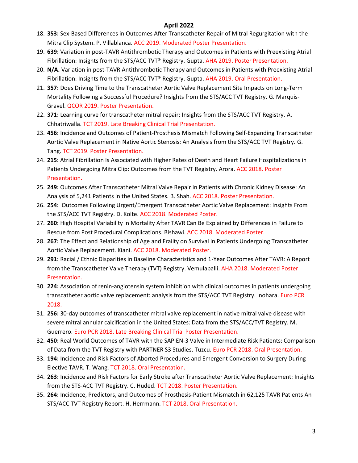- 18. **353:** Sex-Based Differences in Outcomes After Transcatheter Repair of Mitral Regurgitation with the Mitra Clip System. P. Villablanca. ACC 2019. Moderated Poster Presentation.
- 19. **639:** Variation in post-TAVR Antithrombotic Therapy and Outcomes in Patients with Preexisting Atrial Fibrillation: Insights from the STS/ACC TVT® Registry. Gupta. AHA 2019. Poster Presentation.
- 20. **N/A.** Variation in post-TAVR Antithrombotic Therapy and Outcomes in Patients with Preexisting Atrial Fibrillation: Insights from the STS/ACC TVT® Registry. Gupta. AHA 2019. Oral Presentation.
- 21. **357:** Does Driving Time to the Transcatheter Aortic Valve Replacement Site Impacts on Long-Term Mortality Following a Successful Procedure? Insights from the STS/ACC TVT Registry. G. Marquis-Gravel. QCOR 2019. Poster Presentation.
- 22. **371:** Learning curve for transcatheter mitral repair: Insights from the STS/ACC TVT Registry. A. Chhatriwalla. TCT 2019. Late Breaking Clinical Trial Presentation.
- 23. **456:** Incidence and Outcomes of Patient-Prosthesis Mismatch Following Self-Expanding Transcatheter Aortic Valve Replacement in Native Aortic Stenosis: An Analysis from the STS/ACC TVT Registry. G. Tang. TCT 2019. Poster Presentation.
- 24. **215:** Atrial Fibrillation Is Associated with Higher Rates of Death and Heart Failure Hospitalizations in Patients Undergoing Mitra Clip: Outcomes from the TVT Registry. Arora. ACC 2018. Poster Presentation.
- 25. **249:** Outcomes After Transcatheter Mitral Valve Repair in Patients with Chronic Kidney Disease: An Analysis of 5,241 Patients in the United States. B. Shah. ACC 2018. Poster Presentation.
- 26. **254:** Outcomes Following Urgent/Emergent Transcatheter Aortic Valve Replacement: Insights From the STS/ACC TVT Registry. D. Kolte. ACC 2018. Moderated Poster.
- 27. **260:** High Hospital Variability in Mortality After TAVR Can Be Explained by Differences in Failure to Rescue from Post Procedural Complications. Bishawi. ACC 2018. Moderated Poster.
- 28. **267:** The Effect and Relationship of Age and Frailty on Survival in Patients Undergoing Transcatheter Aortic Valve Replacement. Kiani. ACC 2018. Moderated Poster.
- 29. **291:** Racial / Ethnic Disparities in Baseline Characteristics and 1-Year Outcomes After TAVR: A Report from the Transcatheter Valve Therapy (TVT) Registry. Vemulapalli. AHA 2018. Moderated Poster Presentation.
- 30. **224:** Association of renin-angiotensin system inhibition with clinical outcomes in patients undergoing transcatheter aortic valve replacement: analysis from the STS/ACC TVT Registry. Inohara. Euro PCR 2018.
- 31. **256:** 30-day outcomes of transcatheter mitral valve replacement in native mitral valve disease with severe mitral annular calcification in the United States: Data from the STS/ACC/TVT Registry. M. Guerrero. Euro PCR 2018. Late Breaking Clinical Trial Poster Presentation.
- 32. **450:** Real World Outcomes of TAVR with the SAPIEN-3 Valve in Intermediate Risk Patients: Comparison of Data from the TVT Registry with PARTNER S3 Studies. Tuzcu. Euro PCR 2018. Oral Presentation.
- 33. **194:** Incidence and Risk Factors of Aborted Procedures and Emergent Conversion to Surgery During Elective TAVR. T. Wang. TCT 2018. Oral Presentation.
- 34. **263:** Incidence and Risk Factors for Early Stroke after Transcatheter Aortic Valve Replacement: Insights from the STS-ACC TVT Registry. C. Huded. TCT 2018. Poster Presentation.
- 35. **264:** Incidence, Predictors, and Outcomes of Prosthesis-Patient Mismatch in 62,125 TAVR Patients An STS/ACC TVT Registry Report. H. Herrmann. TCT 2018. Oral Presentation.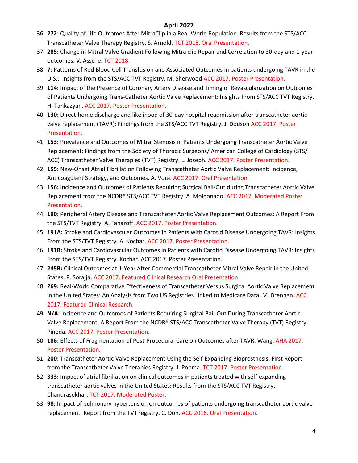- 36. **272:** Quality of Life Outcomes After MitraClip in a Real-World Population. Results from the STS/ACC Transcatheter Valve Therapy Registry. S. Arnold. TCT 2018. Oral Presentation.
- 37. **285:** Change in Mitral Valve Gradient Following Mitra clip Repair and Correlation to 30-day and 1-year outcomes. V. Assche. TCT 2018.
- 38. **7:** Patterns of Red Blood Cell Transfusion and Associated Outcomes in patients undergoing TAVR in the U.S.: Insights from the STS/ACC TVT Registry. M. Sherwood ACC 2017. Poster Presentation.
- 39. **114:** Impact of the Presence of Coronary Artery Disease and Timing of Revascularization on Outcomes of Patients Undergoing Trans-Catheter Aortic Valve Replacement: Insights From STS/ACC TVT Registry. H. Tankazyan. ACC 2017. Poster Presentation.
- 40. **130:** Direct-home discharge and likelihood of 30-day hospital readmission after transcatheter aortic valve replacement (TAVR): Findings from the STS/ACC TVT Registry. J. Dodson ACC 2017. Poster Presentation.
- 41. **153:** Prevalence and Outcomes of Mitral Stenosis in Patients Undergoing Transcatheter Aortic Valve Replacement: Findings from the Society of Thoracic Surgeons/ American College of Cardiology (STS/ ACC) Transcatheter Valve Therapies (TVT) Registry. L. Joseph. ACC 2017. Poster Presentation.
- 42. **155:** New-Onset Atrial Fibrillation Following Transcatheter Aortic Valve Replacement: Incidence, Anticoagulant Strategy, and Outcomes. A. Vora. ACC 2017. Oral Presentation.
- 43. **156:** Incidence and Outcomes of Patients Requiring Surgical Bail-Out during Transcatheter Aortic Valve Replacement from the NCDR® STS/ACC TVT Registry. A. Moldonado. ACC 2017. Moderated Poster Presentation.
- 44. **190:** Peripheral Artery Disease and Transcatheter Aortic Valve Replacement Outcomes: A Report From the STS/TVT Registry. A. Fanaroff. ACC 2017. Poster Presentation.
- 45. **191A:** Stroke and Cardiovascular Outcomes in Patients with Carotid Disease Undergoing TAVR: Insights From the STS/TVT Registry. A. Kochar. ACC 2017. Poster Presentation.
- 46. **191B:** Stroke and Cardiovascular Outcomes in Patients with Carotid Disease Undergoing TAVR: Insights From the STS/TVT Registry. Kochar. ACC 2017. Poster Presentation.
- 47. **245B:** Clinical Outcomes at 1-Year After Commercial Transcatheter Mitral Valve Repair in the United States. P. Sorajja. ACC 2017. Featured Clinical Research Oral Presentation.
- 48. **269:** Real-World Comparative Effectiveness of Transcatheter Versus Surgical Aortic Valve Replacement in the United States: An Analysis from Two US Registries Linked to Medicare Data. M. Brennan. ACC 2017. Featured Clinical Research.
- 49. **N/A:** Incidence and Outcomes of Patients Requiring Surgical Bail-Out During Transcatheter Aortic Valve Replacement: A Report From the NCDR® STS/ACC Transcatheter Valve Therapy (TVT) Registry. Pineda. ACC 2017. Poster Presentation.
- 50. **186:** Effects of Fragmentation of Post-Procedural Care on Outcomes after TAVR. Wang. AHA 2017. Poster Presentation.
- 51. **200:** Transcatheter Aortic Valve Replacement Using the Self-Expanding Bioprosthesis: First Report from the Transcatheter Valve Therapies Registry. J. Popma. TCT 2017. Poster Presentation.
- 52. **333:** Impact of atrial fibrillation on clinical outcomes in patients treated with self-expanding transcatheter aortic valves in the United States: Results from the STS/ACC TVT Registry. Chandrasekhar. TCT 2017. Moderated Poster.
- 53. **98:** Impact of pulmonary hypertension on outcomes of patients undergoing transcatheter aortic valve replacement: Report from the TVT registry. C. Don. ACC 2016. Oral Presentation.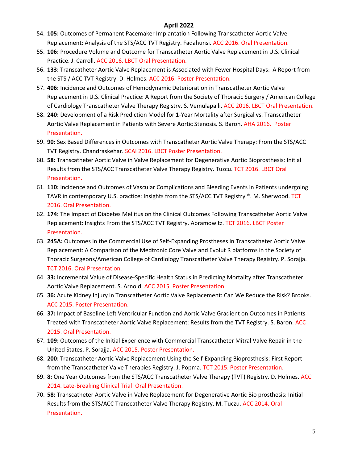- 54. **105:** Outcomes of Permanent Pacemaker Implantation Following Transcatheter Aortic Valve Replacement: Analysis of the STS/ACC TVT Registry. Fadahunsi. ACC 2016. Oral Presentation.
- 55. **106:** Procedure Volume and Outcome for Transcatheter Aortic Valve Replacement in U.S. Clinical Practice. J. Carroll. ACC 2016. LBCT Oral Presentation.
- 56. **133:** Transcatheter Aortic Valve Replacement is Associated with Fewer Hospital Days: A Report from the STS / ACC TVT Registry. D. Holmes. ACC 2016. Poster Presentation.
- 57. **406:** Incidence and Outcomes of Hemodynamic Deterioration in Transcatheter Aortic Valve Replacement in U.S. Clinical Practice: A Report from the Society of Thoracic Surgery / American College of Cardiology Transcatheter Valve Therapy Registry. S. Vemulapalli. ACC 2016. LBCT Oral Presentation.
- 58. **240:** Development of a Risk Prediction Model for 1-Year Mortality after Surgical vs. Transcatheter Aortic Valve Replacement in Patients with Severe Aortic Stenosis. S. Baron. AHA 2016. Poster Presentation.
- 59. **90:** Sex Based Differences in Outcomes with Transcatheter Aortic Valve Therapy: From the STS/ACC TVT Registry. Chandraskehar. SCAI 2016. LBCT Poster Presentation.
- 60. **58:** Transcatheter Aortic Valve in Valve Replacement for Degenerative Aortic Bioprosthesis: Initial Results from the STS/ACC Transcatheter Valve Therapy Registry. Tuzcu. TCT 2016. LBCT Oral Presentation.
- 61. **110:** Incidence and Outcomes of Vascular Complications and Bleeding Events in Patients undergoing TAVR in contemporary U.S. practice: Insights from the STS/ACC TVT Registry ®. M. Sherwood. TCT 2016. Oral Presentation.
- 62. **174:** The Impact of Diabetes Mellitus on the Clinical Outcomes Following Transcatheter Aortic Valve Replacement: Insights From the STS/ACC TVT Registry. Abramowitz. TCT 2016. LBCT Poster Presentation.
- 63. **245A:** Outcomes in the Commercial Use of Self-Expanding Prostheses in Transcatheter Aortic Valve Replacement: A Comparison of the Medtronic Core Valve and Evolut R platforms in the Society of Thoracic Surgeons/American College of Cardiology Transcatheter Valve Therapy Registry. P. Sorajja. TCT 2016. Oral Presentation.
- 64. **33:** Incremental Value of Disease-Specific Health Status in Predicting Mortality after Transcatheter Aortic Valve Replacement. S. Arnold. ACC 2015. Poster Presentation.
- 65. **36:** Acute Kidney Injury in Transcatheter Aortic Valve Replacement: Can We Reduce the Risk? Brooks. ACC 2015. Poster Presentation.
- 66. **37:** Impact of Baseline Left Ventricular Function and Aortic Valve Gradient on Outcomes in Patients Treated with Transcatheter Aortic Valve Replacement: Results from the TVT Registry. S. Baron. ACC 2015. Oral Presentation.
- 67. **109:** Outcomes of the Initial Experience with Commercial Transcatheter Mitral Valve Repair in the United States. P. Sorajja. ACC 2015. Poster Presentation.
- 68. **200:** Transcatheter Aortic Valve Replacement Using the Self-Expanding Bioprosthesis: First Report from the Transcatheter Valve Therapies Registry. J. Popma. TCT 2015. Poster Presentation.
- 69. **8:** One Year Outcomes from the STS/ACC Transcatheter Valve Therapy (TVT) Registry. D. Holmes. ACC 2014. Late-Breaking Clinical Trial: Oral Presentation.
- 70. **58:** Transcatheter Aortic Valve in Valve Replacement for Degenerative Aortic Bio prosthesis: Initial Results from the STS/ACC Transcatheter Valve Therapy Registry. M. Tuczu. ACC 2014. Oral Presentation.